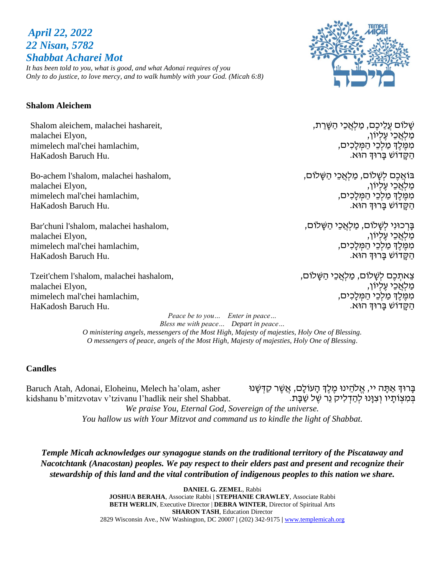# *April 22, 2022 22 Nisan, 5782 Shabbat Acharei Mot*

*It has been told to you, what is good, and what Adonai requires of you Only to do justice, to love mercy, and to walk humbly with your God. (Micah 6:8)*

### **Shalom Aleichem**

Shalom aleichem, malachei hashareit, malachei Elyon, mimelech mal'chei hamlachim, HaKadosh Baruch Hu.

Bo-achem l'shalom, malachei hashalom, malachei Elyon, mimelech mal'chei hamlachim, HaKadosh Baruch Hu.

Bar'chuni l'shalom, malachei hashalom, malachei Elyon, mimelech mal'chei hamlachim, HaKadosh Baruch Hu.

Tzeit'chem l'shalom, malachei hashalom, malachei Elyon, mimelech mal'chei hamlachim, HaKadosh Baruch Hu.

> *Peace be to you… Enter in peace… Bless me with peace… Depart in peace… O ministering angels, messengers of the Most High, Majesty of majesties, Holy One of Blessing. O messengers of peace, angels of the Most High, Majesty of majesties, Holy One of Blessing.*

### **Candles**

Baruch Atah, Adonai, Eloheinu, Melech ha'olam, asher kidshanu b'mitzvotav v'tzivanu l'hadlik neir shel Shabbat. ָבְּרוּדְ אַתָּה יי, אֱלֹהֵינוּ מֶלֶדְ הָעוֹלָם, אֲשֶׁר קִדְּשָׁנוּ בְּמִצְוֹתָיו וְצִנְּוּ לְהַדְלִיק נֵר שֶׁל שַׁבָּת.

> *We praise You, Eternal God, Sovereign of the universe. You hallow us with Your Mitzvot and command us to kindle the light of Shabbat.*

*Temple Micah acknowledges our synagogue stands on the traditional territory of the Piscataway and Nacotchtank (Anacostan) peoples. We pay respect to their elders past and present and recognize their stewardship of this land and the vital contribution of indigenous peoples to this nation we share.*

> **DANIEL G. ZEMEL**, Rabbi **JOSHUA BERAHA**, Associate Rabbi **| STEPHANIE CRAWLEY**, Associate Rabbi **BETH WERLIN**, Executive Director | **DEBRA WINTER**, Director of Spiritual Arts **SHARON TASH**, Education Director 2829 Wisconsin Ave., NW Washington, DC 20007 **|** (202) 342-9175 **|** [www.templemicah.org](http://www.templemicah.org/)

שָׁ לֹום עֲלֵיכֶם, מַ לְאֲ כֵי הַ שָׁ רֵ ת, ַמַלְאֲכֵי עֶלְיוֹן, מִמֶּלֶךְ מַלְכֵי הַמְּלָכִים, הַ קָׁ דֹוש בָׁ רּוְך הּוא.

ָבּוֹאֲכֶם לְשַׁלֹוֹם, מַלְאֲכֵי הַשָּׁלוֹם, ַמַלְאֲכֵי עֵלְיוֹן, מִמֶּלֶךְ מַלְכֵי הַמְּלַכִים, הַ קָׁ דֹוש בָׁ רּוְך הּוא.

בָּרְכוּנִי לְשָׁלֹוֹם, מַלְאֲכֵי הַשָּׁלוֹם, ַמַלְאֲכֵי עֵלְיוֹן, מִמֶּלֶךְ מַלְכֵי הַמְּלַכִים, הַ קָׁ דֹוש בָׁ רּוְך הּוא.

ְצֵאתִכֶם לִשֲׁלֹוֹם, מַלְאֲכֵי הַשָּׁלוֹם, ַמַּלְאֲכֵי עֵלְיוֹן, מִמֶּלֶךְ מַלְכֵי הַמְּלָכִים, הַ קָׁ דֹוש בָׁ רּוְך הּוא.

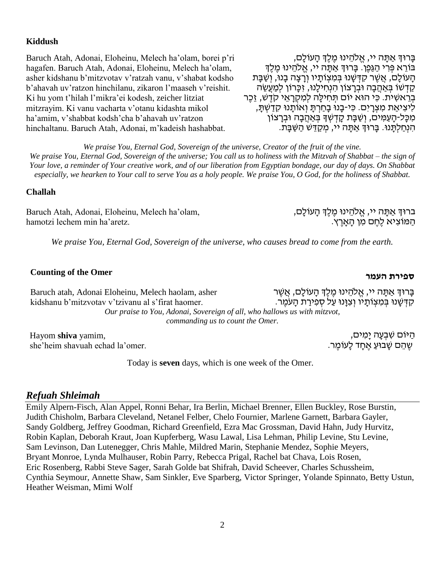### **Kiddush**

Baruch Atah, Adonai, Eloheinu, Melech ha'olam, borei p'ri hagafen. Baruch Atah, Adonai, Eloheinu, Melech ha'olam, asher kidshanu b'mitzvotav v'ratzah vanu, v'shabat kodsho b'ahavah uv'ratzon hinchilanu, zikaron l'maaseh v'reishit. Ki hu yom t'hilah l'mikra'ei kodesh, zeicher litziat mitzrayim. Ki vanu vacharta v'otanu kidashta mikol ha'amim, v'shabbat kodsh'cha b'ahavah uv'ratzon hinchaltanu. Baruch Atah, Adonai, m'kadeish hashabbat.

בָּרוּךְ אַתָּה יי, אֱלֹהֵינוּ מֵלֵךְ הָעוֹלָם, בּוֹרֵא פִּרְי הַגַּפֵן. בַּרוּךְ אַתַּה יי, אֱלֹהֵינוּ מֶלֶךְ הַעוֹלַם, אֲשֶׁר קִדְּשָׁנוּ בְּמִצְוֹתַיו וְרַצָה בָנוּ, וְשַׁבָּת קַדְשׁוֹ בְּאַהֲבָה וּבְרַצוֹן הִנְחִילֵנוּ, זִכֲרוֹן לִמְעֵשֶׂה בְרֵאשִׁית. כִּי הוּא יוֹם תְּחִילָּה לִמְקָרָאֵי קֹדֵשׁ, זֶכֶר לִיצִיאַת מִצְרַיִם. כִּי-בָנוּ בָחַרְתַּ וְאוֹתֲנוּ קִדַשְׁתַּ, ֹמְכָּל-הָעַמִּים, וְשַׁבָּת קָדְשְׁךָ בְּאַהֲבָה וּבְרָצוֹן הִ נְחַ לְתָׁ נּו. בָׁרּוְך אַ תָׁ ה יי, מְ קַ דֵ ש הַ שַ בָׁ ת.

*We praise You, Eternal God, Sovereign of the universe, Creator of the fruit of the vine. We praise You, Eternal God, Sovereign of the universe; You call us to holiness with the Mitzvah of Shabbat – the sign of Your love, a reminder of Your creative work, and of our liberation from Egyptian bondage, our day of days. On Shabbat especially, we hearken to Your call to serve You as a holy people. We praise You, O God, for the holiness of Shabbat.*

### **Challah**

Baruch Atah, Adonai, Eloheinu, Melech ha'olam, hamotzi lechem min ha'aretz.

הַמּוֹצִיא לֶחֶם מִן הָאָרֶץ.

## **העמר ספירת Counting of the Omer**

ַּבְּרוּדְ אַתַּה יי, אֱלֹהֵינוּ מֶלֶדְּ הַעוֹלָם, אֲשֶׁר ּקִדְּשָׁנוּ בְּמִצְוֹתֵיו וְצְוֵּנוּ עַל סְפִירַת הַעֹמֶר. Baruch atah, Adonai Eloheinu, Melech haolam, asher kidshanu b'mitzvotav v'tzivanu al s'firat haomer. *Our praise to You, Adonai, Sovereign of all, who hallows us with mitzvot, commanding us to count the Omer.*

*We praise You, Eternal God, Sovereign of the universe, who causes bread to come from the earth.*

Hayom **shiva** yamim, she'heim shavuah echad la'omer.

Today is **seven** days, which is one week of the Omer.

### *Refuah Shleimah*

Emily Alpern-Fisch, Alan Appel, Ronni Behar, Ira Berlin, Michael Brenner, Ellen Buckley, Rose Burstin, Judith Chisholm, Barbara Cleveland, Netanel Felber, Chelo Fournier, Marlene Garnett, Barbara Gayler, Sandy Goldberg, Jeffrey Goodman, Richard Greenfield, Ezra Mac Grossman, David Hahn, Judy Hurvitz, Robin Kaplan, Deborah Kraut, Joan Kupferberg, Wasu Lawal, Lisa Lehman, Philip Levine, Stu Levine, Sam Levinson, Dan Lutenegger, Chris Mahle, Mildred Marin, Stephanie Mendez, Sophie Meyers, Bryant Monroe, Lynda Mulhauser, Robin Parry, Rebecca Prigal, Rachel bat Chava, Lois Rosen, Eric Rosenberg, Rabbi Steve Sager, Sarah Golde bat Shifrah, David Scheever, Charles Schussheim, Cynthia Seymour, Annette Shaw, Sam Sinkler, Eve Sparberg, Victor Springer, Yolande Spinnato, Betty Ustun, Heather Weisman, Mimi Wolf

ּהַיּוֹם שִׁבְעָה יָמִים,

ָשֶׁ הֵם שָׁבוּעַ אֶחָד לָעוֹמֶר.

ברוּךְ אַתָּה יי, אֱלֹהֵינוּ מֶלֶךְ הָעוֹלָם,